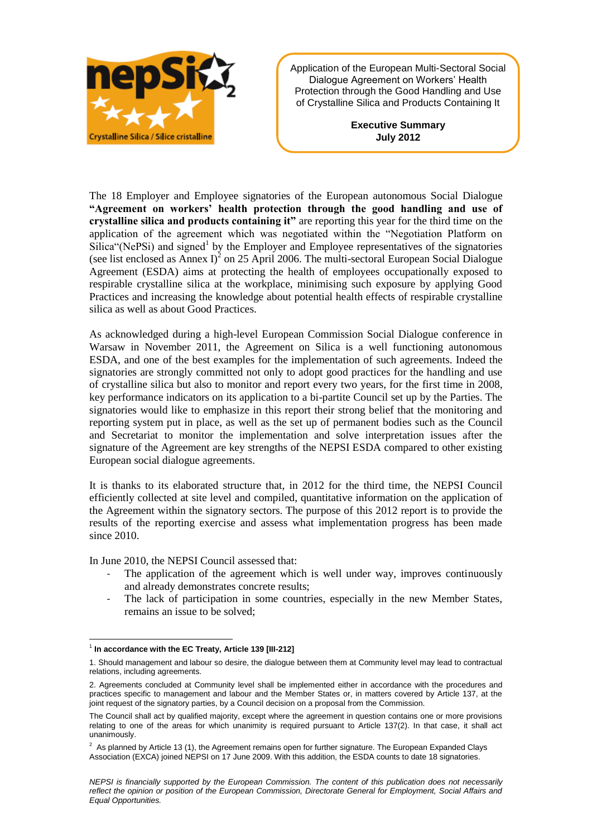

Application of the European Multi-Sectoral Social Dialogue Agreement on Workers' Health Protection through the Good Handling and Use of Crystalline Silica and Products Containing It

> **Executive Summary July 2012**

The 18 Employer and Employee signatories of the European autonomous Social Dialogue **"Agreement on workers' health protection through the good handling and use of crystalline silica and products containing it"** are reporting this year for the third time on the application of the agreement which was negotiated within the "Negotiation Platform on Silica"(NePSi) and signed<sup>1</sup> by the Employer and Employee representatives of the signatories (see list enclosed as Annex I)<sup>2</sup> on 25 April 2006. The multi-sectoral European Social Dialogue Agreement (ESDA) aims at protecting the health of employees occupationally exposed to respirable crystalline silica at the workplace, minimising such exposure by applying Good Practices and increasing the knowledge about potential health effects of respirable crystalline silica as well as about Good Practices.

As acknowledged during a high-level European Commission Social Dialogue conference in Warsaw in November 2011, the Agreement on Silica is a well functioning autonomous ESDA, and one of the best examples for the implementation of such agreements. Indeed the signatories are strongly committed not only to adopt good practices for the handling and use of crystalline silica but also to monitor and report every two years, for the first time in 2008, key performance indicators on its application to a bi-partite Council set up by the Parties. The signatories would like to emphasize in this report their strong belief that the monitoring and reporting system put in place, as well as the set up of permanent bodies such as the Council and Secretariat to monitor the implementation and solve interpretation issues after the signature of the Agreement are key strengths of the NEPSI ESDA compared to other existing European social dialogue agreements.

It is thanks to its elaborated structure that, in 2012 for the third time, the NEPSI Council efficiently collected at site level and compiled, quantitative information on the application of the Agreement within the signatory sectors. The purpose of this 2012 report is to provide the results of the reporting exercise and assess what implementation progress has been made since 2010.

In June 2010, the NEPSI Council assessed that:

- The application of the agreement which is well under way, improves continuously and already demonstrates concrete results;
- The lack of participation in some countries, especially in the new Member States, remains an issue to be solved;

 $\overline{a}$ 1 **In accordance with the EC Treaty, Article 139 [III-212]**

<sup>1.</sup> Should management and labour so desire, the dialogue between them at Community level may lead to contractual relations, including agreements.

<sup>2.</sup> Agreements concluded at Community level shall be implemented either in accordance with the procedures and practices specific to management and labour and the Member States or, in matters covered by Article 137, at the joint request of the signatory parties, by a Council decision on a proposal from the Commission.

The Council shall act by qualified majority, except where the agreement in question contains one or more provisions relating to one of the areas for which unanimity is required pursuant to Article 137(2). In that case, it shall act unanimously.

 $2$  As planned by Article 13 (1), the Agreement remains open for further signature. The European Expanded Clays Association (EXCA) joined NEPSI on 17 June 2009. With this addition, the ESDA counts to date 18 signatories.

*NEPSI is financially supported by the European Commission. The content of this publication does not necessarily reflect the opinion or position of the European Commission, Directorate General for Employment, Social Affairs and Equal Opportunities.*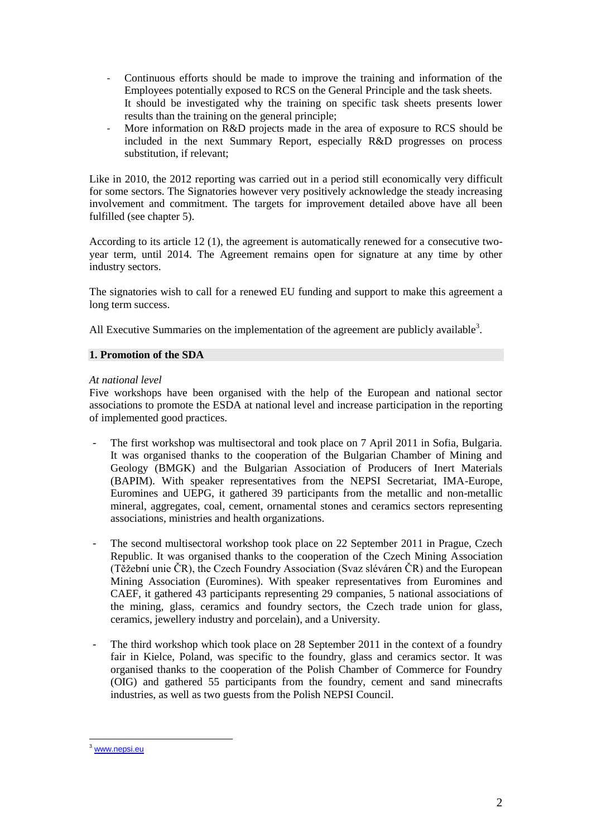- Continuous efforts should be made to improve the training and information of the Employees potentially exposed to RCS on the General Principle and the task sheets. It should be investigated why the training on specific task sheets presents lower results than the training on the general principle;
- More information on R&D projects made in the area of exposure to RCS should be included in the next Summary Report, especially R&D progresses on process substitution, if relevant;

Like in 2010, the 2012 reporting was carried out in a period still economically very difficult for some sectors. The Signatories however very positively acknowledge the steady increasing involvement and commitment. The targets for improvement detailed above have all been fulfilled (see chapter 5).

According to its article 12 (1), the agreement is automatically renewed for a consecutive twoyear term, until 2014. The Agreement remains open for signature at any time by other industry sectors.

The signatories wish to call for a renewed EU funding and support to make this agreement a long term success.

All Executive Summaries on the implementation of the agreement are publicly available<sup>3</sup>.

## **1. Promotion of the SDA**

## *At national level*

Five workshops have been organised with the help of the European and national sector associations to promote the ESDA at national level and increase participation in the reporting of implemented good practices.

- The first workshop was multisectoral and took place on 7 April 2011 in Sofia, Bulgaria. It was organised thanks to the cooperation of the Bulgarian Chamber of Mining and Geology (BMGK) and the Bulgarian Association of Producers of Inert Materials (BAPIM). With speaker representatives from the NEPSI Secretariat, IMA-Europe, Euromines and UEPG, it gathered 39 participants from the metallic and non-metallic mineral, aggregates, coal, cement, ornamental stones and ceramics sectors representing associations, ministries and health organizations.
- The second multisectoral workshop took place on 22 September 2011 in Prague, Czech Republic. It was organised thanks to the cooperation of the Czech Mining Association (Těžební unie ČR), the Czech Foundry Association (Svaz sléváren ČR) and the European Mining Association (Euromines). With speaker representatives from Euromines and CAEF, it gathered 43 participants representing 29 companies, 5 national associations of the mining, glass, ceramics and foundry sectors, the Czech trade union for glass, ceramics, jewellery industry and porcelain), and a University.
- The third workshop which took place on 28 September 2011 in the context of a foundry fair in Kielce, Poland, was specific to the foundry, glass and ceramics sector. It was organised thanks to the cooperation of the Polish Chamber of Commerce for Foundry (OIG) and gathered 55 participants from the foundry, cement and sand minecrafts industries, as well as two guests from the Polish NEPSI Council.

 $\overline{a}$ 

<sup>&</sup>lt;sup>3</sup> [www.nepsi.eu](http://www.nepsi.eu/)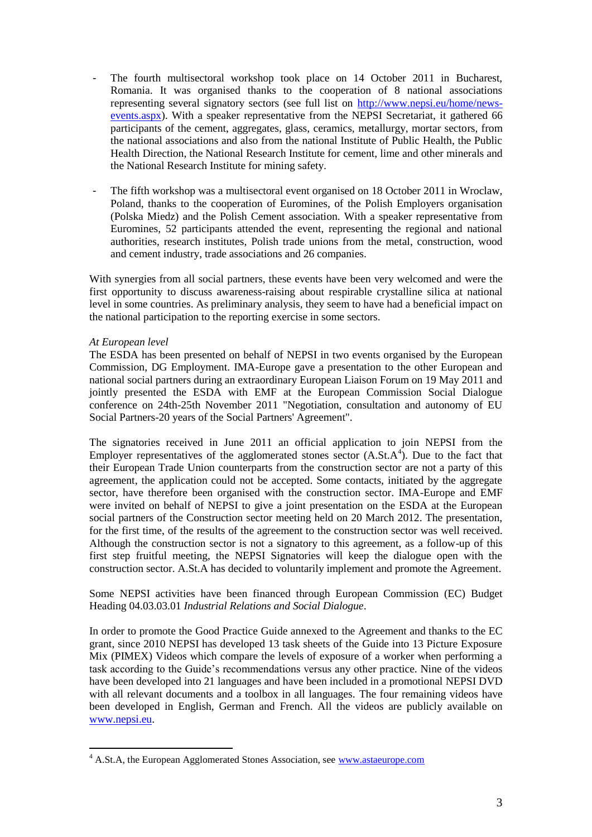- The fourth multisectoral workshop took place on 14 October 2011 in Bucharest, Romania. It was organised thanks to the cooperation of 8 national associations representing several signatory sectors (see full list on [http://www.nepsi.eu/home/news](http://www.nepsi.eu/home/news-events.aspx)[events.aspx\)](http://www.nepsi.eu/home/news-events.aspx). With a speaker representative from the NEPSI Secretariat, it gathered 66 participants of the cement, aggregates, glass, ceramics, metallurgy, mortar sectors, from the national associations and also from the national Institute of Public Health, the Public Health Direction, the National Research Institute for cement, lime and other minerals and the National Research Institute for mining safety.
- The fifth workshop was a multisectoral event organised on 18 October 2011 in Wroclaw, Poland, thanks to the cooperation of Euromines, of the Polish Employers organisation (Polska Miedz) and the Polish Cement association. With a speaker representative from Euromines, 52 participants attended the event, representing the regional and national authorities, research institutes, Polish trade unions from the metal, construction, wood and cement industry, trade associations and 26 companies.

With synergies from all social partners, these events have been very welcomed and were the first opportunity to discuss awareness-raising about respirable crystalline silica at national level in some countries. As preliminary analysis, they seem to have had a beneficial impact on the national participation to the reporting exercise in some sectors.

## *At European level*

The ESDA has been presented on behalf of NEPSI in two events organised by the European Commission, DG Employment. IMA-Europe gave a presentation to the other European and national social partners during an extraordinary European Liaison Forum on 19 May 2011 and jointly presented the ESDA with EMF at the European Commission Social Dialogue conference on 24th-25th November 2011 "Negotiation, consultation and autonomy of EU Social Partners-20 years of the Social Partners' Agreement".

The signatories received in June 2011 an official application to join NEPSI from the Employer representatives of the agglomerated stones sector  $(A.S.t.A<sup>4</sup>)$ . Due to the fact that their European Trade Union counterparts from the construction sector are not a party of this agreement, the application could not be accepted. Some contacts, initiated by the aggregate sector, have therefore been organised with the construction sector. IMA-Europe and EMF were invited on behalf of NEPSI to give a joint presentation on the ESDA at the European social partners of the Construction sector meeting held on 20 March 2012. The presentation, for the first time, of the results of the agreement to the construction sector was well received. Although the construction sector is not a signatory to this agreement, as a follow-up of this first step fruitful meeting, the NEPSI Signatories will keep the dialogue open with the construction sector. A.St.A has decided to voluntarily implement and promote the Agreement.

## Some NEPSI activities have been financed through European Commission (EC) Budget Heading 04.03.03.01 *Industrial Relations and Social Dialogue*.

In order to promote the Good Practice Guide annexed to the Agreement and thanks to the EC grant, since 2010 NEPSI has developed 13 task sheets of the Guide into 13 Picture Exposure Mix (PIMEX) Videos which compare the levels of exposure of a worker when performing a task according to the Guide's recommendations versus any other practice. Nine of the videos have been developed into 21 languages and have been included in a promotional NEPSI DVD with all relevant documents and a toolbox in all languages. The four remaining videos have been developed in English, German and French. All the videos are publicly available on [www.nepsi.eu.](http://www.nepsi.eu/)

<sup>&</sup>lt;sup>4</sup> A.St.A, the European Agglomerated Stones Association, see www.astaeurope.com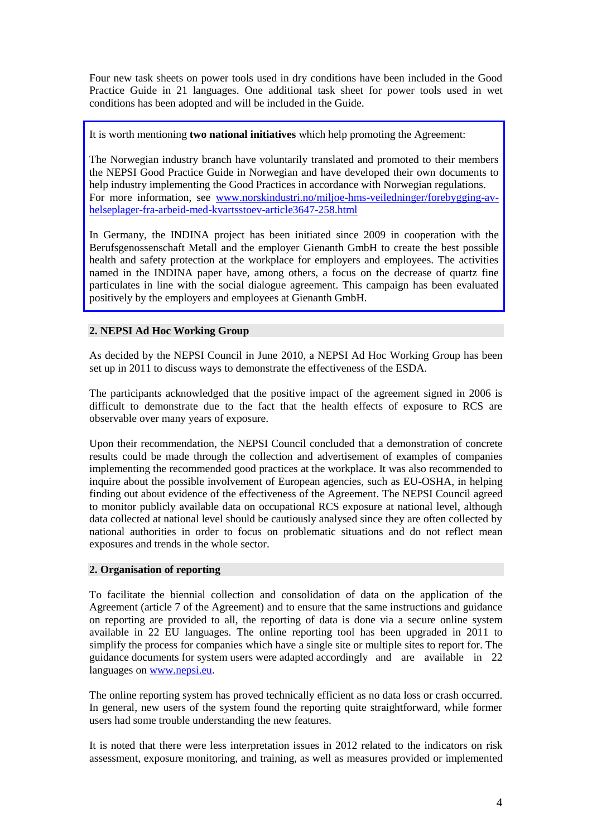Four new task sheets on power tools used in dry conditions have been included in the Good Practice Guide in 21 languages. One additional task sheet for power tools used in wet conditions has been adopted and will be included in the Guide.

It is worth mentioning **two national initiatives** which help promoting the Agreement:

The Norwegian industry branch have voluntarily translated and promoted to their members the NEPSI Good Practice Guide in Norwegian and have developed their own documents to help industry implementing the Good Practices in accordance with Norwegian regulations. For more information, see [www.norskindustri.no/miljoe-hms-veiledninger/forebygging-av](http://www.norskindustri.no/miljoe-hms-veiledninger/forebygging-av-helseplager-fra-arbeid-med-kvartsstoev-article3647-258.html)[helseplager-fra-arbeid-med-kvartsstoev-article3647-258.html](http://www.norskindustri.no/miljoe-hms-veiledninger/forebygging-av-helseplager-fra-arbeid-med-kvartsstoev-article3647-258.html)

In Germany, the INDINA project has been initiated since 2009 in cooperation with the Berufsgenossenschaft Metall and the employer Gienanth GmbH to create the best possible health and safety protection at the workplace for employers and employees. The activities named in the INDINA paper have, among others, a focus on the decrease of quartz fine particulates in line with the social dialogue agreement. This campaign has been evaluated positively by the employers and employees at Gienanth GmbH.

# **2. NEPSI Ad Hoc Working Group**

As decided by the NEPSI Council in June 2010, a NEPSI Ad Hoc Working Group has been set up in 2011 to discuss ways to demonstrate the effectiveness of the ESDA.

The participants acknowledged that the positive impact of the agreement signed in 2006 is difficult to demonstrate due to the fact that the health effects of exposure to RCS are observable over many years of exposure.

Upon their recommendation, the NEPSI Council concluded that a demonstration of concrete results could be made through the collection and advertisement of examples of companies implementing the recommended good practices at the workplace. It was also recommended to inquire about the possible involvement of European agencies, such as EU-OSHA, in helping finding out about evidence of the effectiveness of the Agreement. The NEPSI Council agreed to monitor publicly available data on occupational RCS exposure at national level, although data collected at national level should be cautiously analysed since they are often collected by national authorities in order to focus on problematic situations and do not reflect mean exposures and trends in the whole sector.

## **2. Organisation of reporting**

To facilitate the biennial collection and consolidation of data on the application of the Agreement (article 7 of the Agreement) and to ensure that the same instructions and guidance on reporting are provided to all, the reporting of data is done via a secure online system available in 22 EU languages. The online reporting tool has been upgraded in 2011 to simplify the process for companies which have a single site or multiple sites to report for. The guidance documents for system users were adapted accordingly and are available in 22 languages on [www.nepsi.eu.](http://www.nepsi.eu/)

The online reporting system has proved technically efficient as no data loss or crash occurred. In general, new users of the system found the reporting quite straightforward, while former users had some trouble understanding the new features.

It is noted that there were less interpretation issues in 2012 related to the indicators on risk assessment, exposure monitoring, and training, as well as measures provided or implemented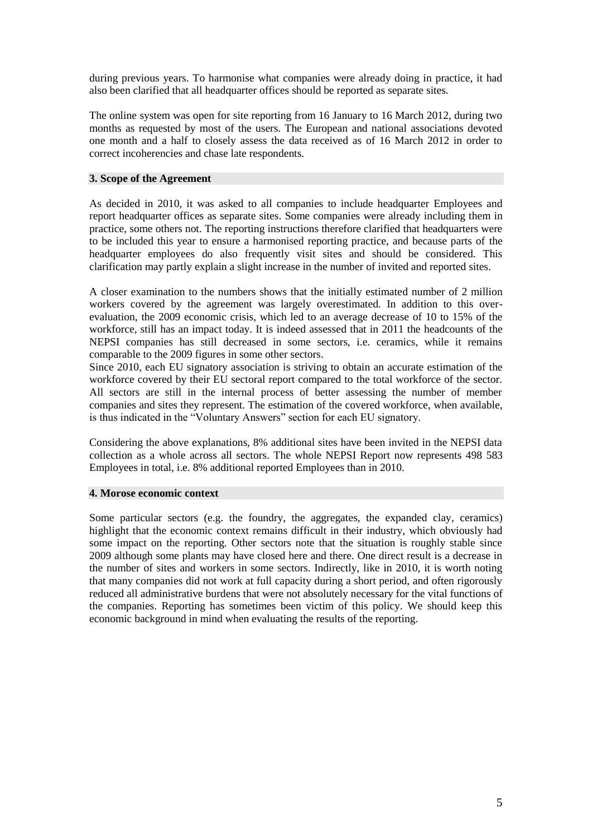during previous years. To harmonise what companies were already doing in practice, it had also been clarified that all headquarter offices should be reported as separate sites.

The online system was open for site reporting from 16 January to 16 March 2012, during two months as requested by most of the users. The European and national associations devoted one month and a half to closely assess the data received as of 16 March 2012 in order to correct incoherencies and chase late respondents.

#### **3. Scope of the Agreement**

As decided in 2010, it was asked to all companies to include headquarter Employees and report headquarter offices as separate sites. Some companies were already including them in practice, some others not. The reporting instructions therefore clarified that headquarters were to be included this year to ensure a harmonised reporting practice, and because parts of the headquarter employees do also frequently visit sites and should be considered. This clarification may partly explain a slight increase in the number of invited and reported sites.

A closer examination to the numbers shows that the initially estimated number of 2 million workers covered by the agreement was largely overestimated. In addition to this overevaluation, the 2009 economic crisis, which led to an average decrease of 10 to 15% of the workforce, still has an impact today. It is indeed assessed that in 2011 the headcounts of the NEPSI companies has still decreased in some sectors, i.e. ceramics, while it remains comparable to the 2009 figures in some other sectors.

Since 2010, each EU signatory association is striving to obtain an accurate estimation of the workforce covered by their EU sectoral report compared to the total workforce of the sector. All sectors are still in the internal process of better assessing the number of member companies and sites they represent. The estimation of the covered workforce, when available, is thus indicated in the "Voluntary Answers" section for each EU signatory.

Considering the above explanations, 8% additional sites have been invited in the NEPSI data collection as a whole across all sectors. The whole NEPSI Report now represents 498 583 Employees in total, i.e. 8% additional reported Employees than in 2010.

## **4. Morose economic context**

Some particular sectors (e.g. the foundry, the aggregates, the expanded clay, ceramics) highlight that the economic context remains difficult in their industry, which obviously had some impact on the reporting. Other sectors note that the situation is roughly stable since 2009 although some plants may have closed here and there. One direct result is a decrease in the number of sites and workers in some sectors. Indirectly, like in 2010, it is worth noting that many companies did not work at full capacity during a short period, and often rigorously reduced all administrative burdens that were not absolutely necessary for the vital functions of the companies. Reporting has sometimes been victim of this policy. We should keep this economic background in mind when evaluating the results of the reporting.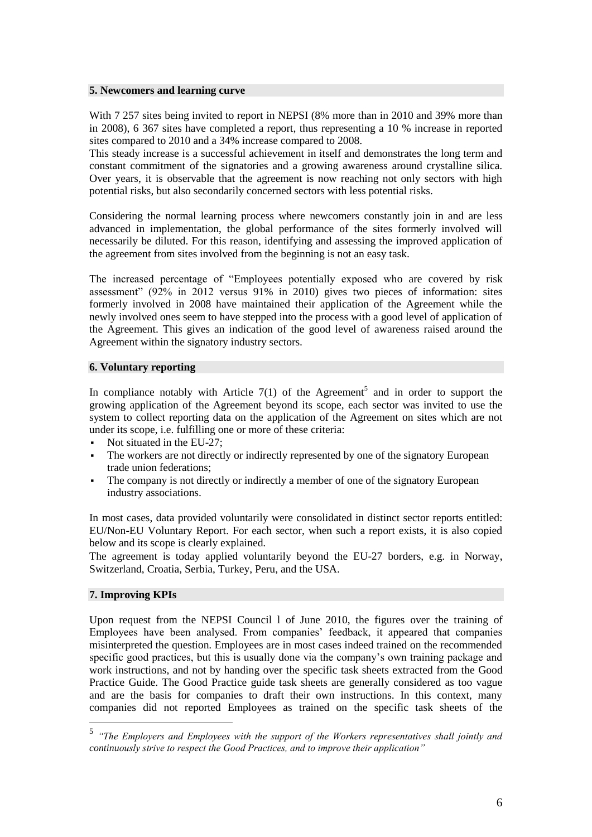#### **5. Newcomers and learning curve**

With 7 257 sites being invited to report in NEPSI (8% more than in 2010 and 39% more than in 2008), 6 367 sites have completed a report, thus representing a 10 % increase in reported sites compared to 2010 and a 34% increase compared to 2008.

This steady increase is a successful achievement in itself and demonstrates the long term and constant commitment of the signatories and a growing awareness around crystalline silica. Over years, it is observable that the agreement is now reaching not only sectors with high potential risks, but also secondarily concerned sectors with less potential risks.

Considering the normal learning process where newcomers constantly join in and are less advanced in implementation, the global performance of the sites formerly involved will necessarily be diluted. For this reason, identifying and assessing the improved application of the agreement from sites involved from the beginning is not an easy task.

The increased percentage of "Employees potentially exposed who are covered by risk assessment" (92% in 2012 versus 91% in 2010) gives two pieces of information: sites formerly involved in 2008 have maintained their application of the Agreement while the newly involved ones seem to have stepped into the process with a good level of application of the Agreement. This gives an indication of the good level of awareness raised around the Agreement within the signatory industry sectors.

## **6. Voluntary reporting**

In compliance notably with Article  $7(1)$  of the Agreement<sup>5</sup> and in order to support the growing application of the Agreement beyond its scope, each sector was invited to use the system to collect reporting data on the application of the Agreement on sites which are not under its scope, i.e. fulfilling one or more of these criteria:

- Not situated in the EU-27;
- The workers are not directly or indirectly represented by one of the signatory European trade union federations;
- The company is not directly or indirectly a member of one of the signatory European industry associations.

In most cases, data provided voluntarily were consolidated in distinct sector reports entitled: EU/Non-EU Voluntary Report. For each sector, when such a report exists, it is also copied below and its scope is clearly explained.

The agreement is today applied voluntarily beyond the EU-27 borders, e.g. in Norway, Switzerland, Croatia, Serbia, Turkey, Peru, and the USA.

## **7. Improving KPIs**

 $\overline{a}$ 

Upon request from the NEPSI Council l of June 2010, the figures over the training of Employees have been analysed. From companies' feedback, it appeared that companies misinterpreted the question. Employees are in most cases indeed trained on the recommended specific good practices, but this is usually done via the company's own training package and work instructions, and not by handing over the specific task sheets extracted from the Good Practice Guide. The Good Practice guide task sheets are generally considered as too vague and are the basis for companies to draft their own instructions. In this context, many companies did not reported Employees as trained on the specific task sheets of the

<sup>5</sup> *"The Employers and Employees with the support of the Workers representatives shall jointly and continuously strive to respect the Good Practices, and to improve their application"*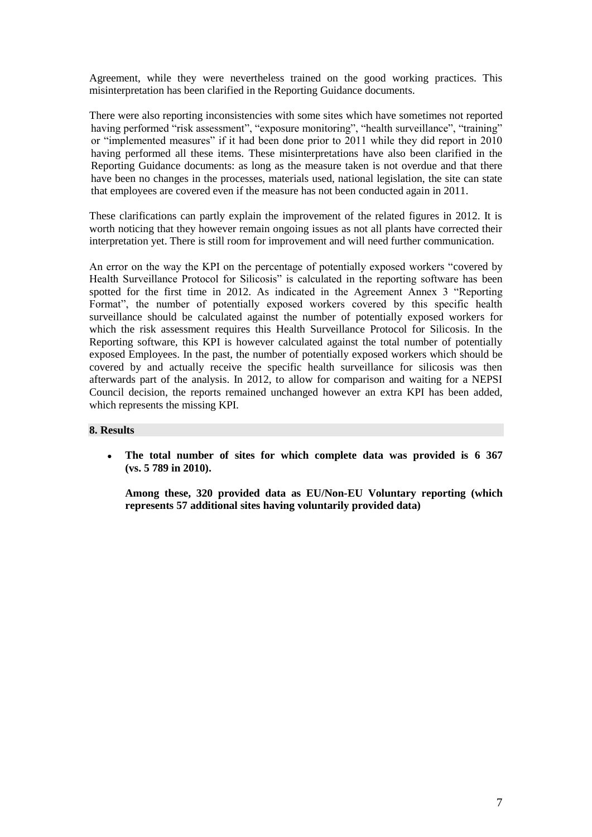Agreement, while they were nevertheless trained on the good working practices. This misinterpretation has been clarified in the Reporting Guidance documents.

There were also reporting inconsistencies with some sites which have sometimes not reported having performed "risk assessment", "exposure monitoring", "health surveillance", "training" or "implemented measures" if it had been done prior to 2011 while they did report in 2010 having performed all these items. These misinterpretations have also been clarified in the Reporting Guidance documents: as long as the measure taken is not overdue and that there have been no changes in the processes, materials used, national legislation, the site can state that employees are covered even if the measure has not been conducted again in 2011.

These clarifications can partly explain the improvement of the related figures in 2012. It is worth noticing that they however remain ongoing issues as not all plants have corrected their interpretation yet. There is still room for improvement and will need further communication.

An error on the way the KPI on the percentage of potentially exposed workers "covered by Health Surveillance Protocol for Silicosis" is calculated in the reporting software has been spotted for the first time in 2012. As indicated in the Agreement Annex 3 "Reporting Format", the number of potentially exposed workers covered by this specific health surveillance should be calculated against the number of potentially exposed workers for which the risk assessment requires this Health Surveillance Protocol for Silicosis. In the Reporting software, this KPI is however calculated against the total number of potentially exposed Employees. In the past, the number of potentially exposed workers which should be covered by and actually receive the specific health surveillance for silicosis was then afterwards part of the analysis. In 2012, to allow for comparison and waiting for a NEPSI Council decision, the reports remained unchanged however an extra KPI has been added, which represents the missing KPI.

## **8. Results**

The total number of sites for which complete data was provided is 6 367 **(vs. 5 789 in 2010).** 

**Among these, 320 provided data as EU/Non-EU Voluntary reporting (which represents 57 additional sites having voluntarily provided data)**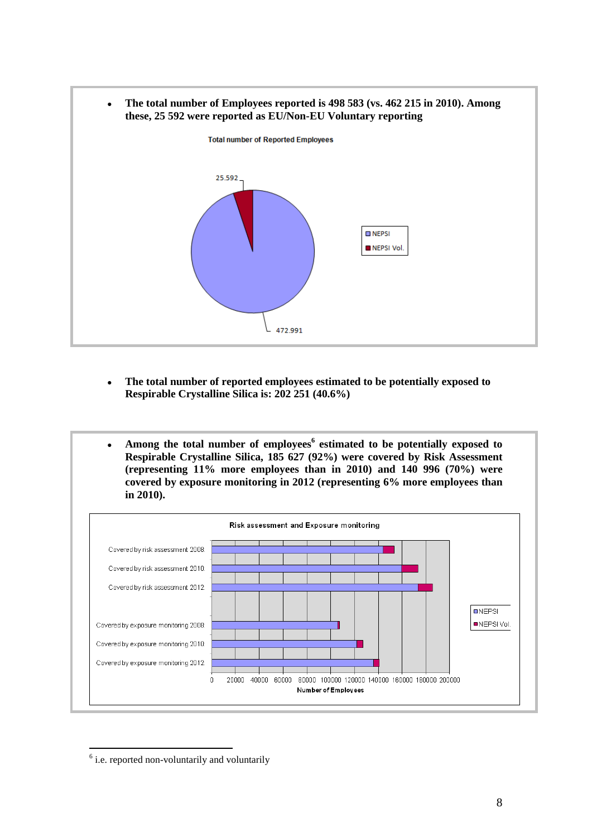

- **The total number of reported employees estimated to be potentially exposed to Respirable Crystalline Silica is: 202 251 (40.6%)**
- **Among the total number of employees<sup>6</sup> estimated to be potentially exposed to Respirable Crystalline Silica, 185 627 (92%) were covered by Risk Assessment (representing 11% more employees than in 2010) and 140 996 (70%) were covered by exposure monitoring in 2012 (representing 6% more employees than in 2010).**



 <sup>6</sup> i.e. reported non-voluntarily and voluntarily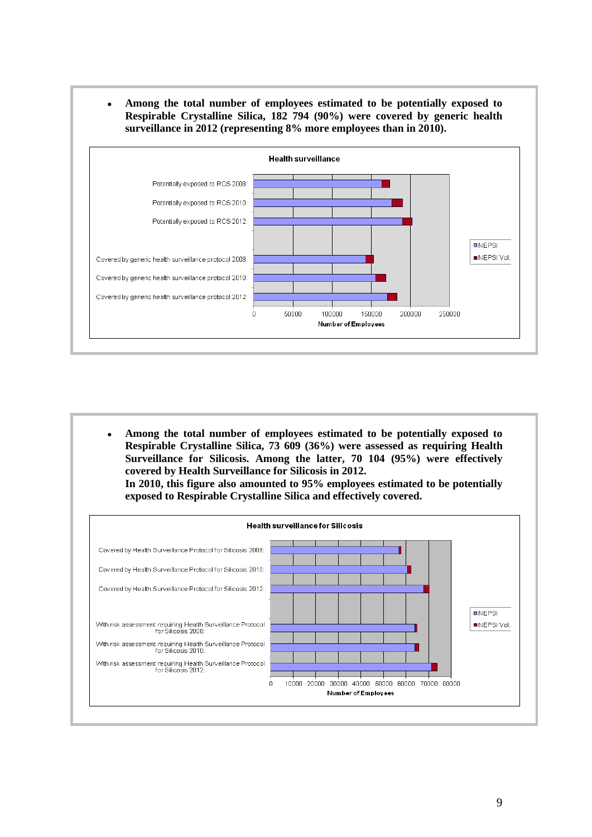● **Among the total number of employees estimated to be potentially exposed to Respirable Crystalline Silica, 182 794 (90%) were covered by generic health surveillance in 2012 (representing 8% more employees than in 2010).**



● **Among the total number of employees estimated to be potentially exposed to Respirable Crystalline Silica, 73 609 (36%) were assessed as requiring Health Surveillance for Silicosis. Among the latter, 70 104 (95%) were effectively covered by Health Surveillance for Silicosis in 2012. In 2010, this figure also amounted to 95% employees estimated to be potentially exposed to Respirable Crystalline Silica and effectively covered.**

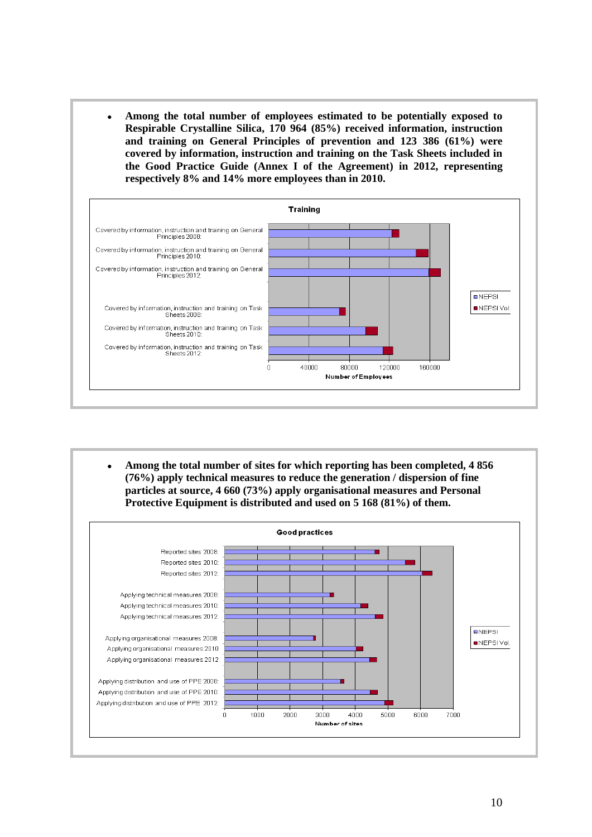● **Among the total number of employees estimated to be potentially exposed to Respirable Crystalline Silica, 170 964 (85%) received information, instruction and training on General Principles of prevention and 123 386 (61%) were covered by information, instruction and training on the Task Sheets included in the Good Practice Guide (Annex I of the Agreement) in 2012, representing respectively 8% and 14% more employees than in 2010.**



● **Among the total number of sites for which reporting has been completed, 4 856 (76%) apply technical measures to reduce the generation / dispersion of fine particles at source, 4 660 (73%) apply organisational measures and Personal Protective Equipment is distributed and used on 5 168 (81%) of them.**